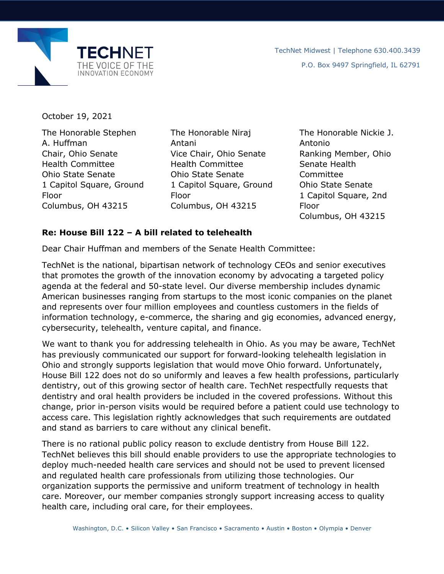

October 19, 2021

The Honorable Stephen A. Huffman Chair, Ohio Senate Health Committee Ohio State Senate 1 Capitol Square, Ground Floor Columbus, OH 43215

The Honorable Niraj Antani Vice Chair, Ohio Senate Health Committee Ohio State Senate 1 Capitol Square, Ground Floor Columbus, OH 43215

The Honorable Nickie J. Antonio Ranking Member, Ohio Senate Health Committee Ohio State Senate 1 Capitol Square, 2nd Floor Columbus, OH 43215

## **Re: House Bill 122 – A bill related to telehealth**

Dear Chair Huffman and members of the Senate Health Committee:

TechNet is the national, bipartisan network of technology CEOs and senior executives that promotes the growth of the innovation economy by advocating a targeted policy agenda at the federal and 50-state level. Our diverse membership includes dynamic American businesses ranging from startups to the most iconic companies on the planet and represents over four million employees and countless customers in the fields of information technology, e-commerce, the sharing and gig economies, advanced energy, cybersecurity, telehealth, venture capital, and finance.

We want to thank you for addressing telehealth in Ohio. As you may be aware, TechNet has previously communicated our support for forward-looking telehealth legislation in Ohio and strongly supports legislation that would move Ohio forward. Unfortunately, House Bill 122 does not do so uniformly and leaves a few health professions, particularly dentistry, out of this growing sector of health care. TechNet respectfully requests that dentistry and oral health providers be included in the covered professions. Without this change, prior in-person visits would be required before a patient could use technology to access care. This legislation rightly acknowledges that such requirements are outdated and stand as barriers to care without any clinical benefit.

There is no rational public policy reason to exclude dentistry from House Bill 122. TechNet believes this bill should enable providers to use the appropriate technologies to deploy much-needed health care services and should not be used to prevent licensed and regulated health care professionals from utilizing those technologies. Our organization supports the permissive and uniform treatment of technology in health care. Moreover, our member companies strongly support increasing access to quality health care, including oral care, for their employees.